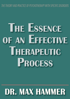THE THEORY AND PRACTICE OF PSYCHOTHERAPY WITH SPECIFIC DISORDERS

# **THE ESSENCE** OF AN EFFECTIVE THERAPEUTIC **PROCESS**

## **DR. MAX HAMMER**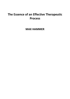### **The Essence of an Effective Therapeutic Process**

**MAX HAMMER**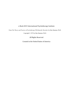#### e-Book 2015 International Psychotherapy Institute

From *The Theory and Practice of Psychotherapy With Specific Disorders* by Max Hammer, Ph.D. Copyright © 1972 by Max Hammer, Ph.D.

All Rights Reserved

Created in the United States of America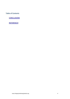**Table of Contents** 

**CONCLUSIONS** 

**REFERENCES**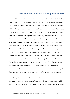#### **The Essence of an Effective Therapeutic Process**

In this final section I would like to summarize the basic material in this book in the form of presenting my conclusions in regard to what I feel to be the essential aspects of an effective therapeutic process. This is an extremely difficult thing to do because one's definition of an effective therapeutic process very much depends upon how one defines a successful therapeutic outcome. As the reader is probably already very much aware, there is very little consensual validation or agreement in regard to a definition of successful therapeutic outcome because there is very little agreement in regard to a definition of the essence of cure, growth or psychological health. The research literature in the field of psychotherapy is full of grandiose claims in regard to a particular approach achieving a high rate of successful therapeutic outcomes but when one looks at how they defined successful outcome, cure or growth, there is quite often a rejection of that definition by the reader to whom these terms mean something entirely different. As long as value judgments exist in regard to how one defines the nature of man, and therefore also the nature of optimal psychic functioning, there will always be disagreements in regard to the essence of an effective therapeutic process.

Thus, if we had a set of clear criteria and a sense of consensual validation in regard to the nature of cure, growth and psychological health, it would then be a relatively simple matter to set up criteria for an effective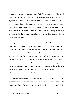therapeutic process. However, in spite of all of these inherent problems and difficulties I would like to share with the reader my most basic conclusions in regard to the essence of an effective therapeutic process. It is based upon my own understanding of the nature of cure, growth and psychological health, much of which the reader will find presented in the various chapters that I have written in this book, plus what I have observed as being elements in common in the therapeutic approaches of other psychotherapists who are consistently effective.

I present these basic conclusions not with the intent of having the reader believe them and accept them as an absolute truth but rather as a challenge to the reader to reflect deeply upon them and question them as well as question others who hold similar and dissimilar conclusions. In addition, ask yourself about the essence of your own growth and that of the patients you work with in psychotherapy and see if something becomes meaningful to you about the essence of psychotherapy as a result of all this inquiry and observation. In understanding that process of inquiry itself, the reader may discover something more meaningful about the essence of therapy than the intellectual conclusions he finally settles upon.

Permit me to caution the reader not to adopt a therapeutic approach just because someone presents it to you in a very persuasive manner. The reader should not take anything written in this book or any other book as the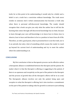truth, for at this point in his understanding it would only be a belief, and a belief is not a truth but a conviction without knowledge. The truth never resides in someone else's verbal communication but becomes a truth only when there is personal self-discovered knowledge. The reader should recognize that a book can give you only what the author has to tell but the learning that comes through self-discovered knowledge has no limit, because to learn through your own self-knowledge is to know how to listen, how to observe, how to hear and therefore to be in a position to learn from all of life. Therefore, as with a good poem, what is presented here is not the truth, nor is it an untruth, but only a hint of something which coaxes the reader to reach up beyond his current level of understanding and try to meet the author where his understanding is at.

#### **CONCLUSIONS**

My first conclusion is that no therapeutic process can be effective unless a therapeutic alliance is established between the therapist and the patient. No matter what it is that the therapist is offering or suggesting to the patient, if there is no openness and receptivity on the part of the patient to the therapist and the process of growth then all the therapist's efforts will be to no avail. The therapeutic alliance involves not only the patient being open and receptive to what the therapist is offering, but it also involves a commitment on the part of the patient to taking risks for growth in contrast to just utilizing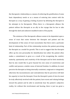the therapeutic relationship as a means of achieving the gratification of some basic dependency needs or as a means of entering into contest with the therapist as a way of gaining a feeling of power by defeating the therapist in his attempts to be therapeutic. When there is a therapeutic alliance the patient utilizes the therapist as an ally in the voyage that he has to take through the dark and unknown muddied waters of his psyche.

The existence of the therapeutic alliance seems to be dependent upon a sense of trust that exists between the therapist and patient and the development of this sense of trust necessitates that there exist a particular kind of relationship. Part of this relationship involves the patient perceiving the therapist as a model for growth. This is not to suggest that the therapist offers up his own personality for identification but rather the patient often makes a commitment to grow as a result of his recognizing the comfort, maturity, spontaneity and creativity of the therapist and he feels intuitively that he also would like to grow beyond his own sense of constriction and conflict and possess a similar sense of internal freedom. In addition, he must perceive the therapist as being internally consistent, congruent or integrated; otherwise the inconsistencies and contradictions that he perceives will limit his capacity to trust the therapist. From the therapist's point of view he must be truly affectively involved with the patient, have warm and valuing feelings toward the patient and be able to sensitively hear the patient's subjective reality, for without this involvement and hearing, there is just too great a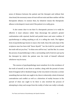sense of distance between the patient and the therapist and without that close bond, the necessary sense of trust will not exist and then neither will the therapeutic alliance. In essence then, by whatever means the therapeutic alliance is developed, it must exist if the patient is to really grow.

It also seems clear to me that if a therapeutic process is to really be effective it must enhance rather than discourage the patient's greater confrontation with rejected, fearful and painful inner and outer realities. If psychotherapy is selling anything at all, it is selling the truth. The highest form of psychotherapy known to man is the truth. Since the early days of the scriptures man has been told "know thyself," "see the truth for yourself and the truth will set you free," "to thine own self be true," and the like. In a sense the process of psychotherapy is like a surrounding wall of mirrors put up by the therapist by which the patient sees the truth of himself reflected whichever way he turns.

The essence of psychopathology must somehow lie in the avoidance of the truth of oneself, in one form or another, along with the pursuit of some kind of imaginal self or idealized image. In the very desire to become a certain something that one feels one ought to be, there is inherently a kind of internal contradiction and conflict as well as a distortion of reality because in the pursuit of what one ought to be there is also involved the process of attempting to deny and escape from the reality of what one really is already.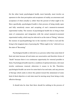On the other hand, psychological health, most basically, must involve an openness to the clear perception and acceptance of reality; an awareness and acceptance of what actually is, rather than the pursuit of what ought to be. More specifically, psychological health is that process of being totally open and fully sensitively aware and accepting of one's moment-to-moment experiential reality. The essence of psychological health lies in living in that state of communion and integration with the actual moment-to-moment experiential reality, which may be referred to as the state of "Being," whereas the essence of psychopathology lies in the rejection of what is real and the living in the imaginal state of pursuing the "What ought to be," referred to as the state of "Becoming."

Psychological health is referred to as a process rather than some kind of final end state because all end states are noncreative and therefore forms of "death" because there is no continuous opportunity for renewal possible in them. Psychological health must be a condition of optimal aliveness. Life must involve continuous renewal: otherwise it ceases to be life. Therefore, psychological health can never be some kind of an end state, and any process of therapy which seeks to direct the patient toward the attainment of some kind of ideal objective or end state must be moving away from being a truly effective therapy.

It should also be clear that there should be nothing in the process of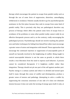therapy which encourages the patient to escape from painful reality such as through the use of some form of suppression, distortion, camouflaging, withdrawal or avoidance. Patients usually decide to go for psychotherapeutic assistance in the first place because they seek to escape from some kind of painful reality. This is precisely why they are pathological; therefore any process of therapy which offers the patient some form of escape from or avoidance of his problems or some other painful reality cannot really be an effective therapeutic process and is, on the contrary, really encouraging the pathological process. Psychotherapy should not involve teaching the patient new and better techniques for hiding from himself but rather must encourage a greater sense of union and integration with himself. Those approaches that encourage the continued rejection or suppression of unacceptable parts of oneself are basically involved in the heightening of conflict. Being taught to control unacceptable behavior is not the same as growth, in which there results a true liberation from the need to express such behavior. A process cannot be considered therapeutic if it heightens conflict rather than integration. Therapy should not pit one part of the self against another part. Psychic energy is a unitary system and when it is divided and turned upon itself it must, through this sense of conflict and disintegration, produce a greater sense of tension and pathology. Attempting to solve a conflict by suppressing the conscious awareness of one side of it does not eliminate tension because it does not untie the turning of energy upon itself; it only, at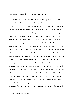best, reduces the conscious awareness of the tension.

Therefore, to be effective the process of therapy must of its own nature involve the patient in a state of integration rather than keeping him constantly outside of himself by offering him an intellectual survey of his problems through the process of presenting him with a set of intellectual explanations and theories. For the patient to end up being an integrated human being the process of therapy itself must be integrative in its nature. Thus, it is only when the patient is in a state of integration with his symptom or problem—that is, when the observer is not outside of but rather is one with the observed—that the patient is in a state of integration, from which a liberating self-understanding can occur. Therefore it is clear that insight or intellectual awareness is really the *consequence* of growth and not its antecedent *cause* as many therapists erroneously believe. There must first occur in the patient the state of integration with his own rejected painful feelings, which is the essence of growth, and *only then* is that boundary, which separates conscious from unconsciousness, produced by the ego as the observer and controller of thought, dissolved which then permits the intellectual awareness of the rejected truths to take place. The particular rejected truth presented to the patient in the form of intellectual interpretations by the therapist, in his attempt to produce that necessary state of integration and growth, is not adequate to remove the ego's separation from and control of thought which is necessary for dissolving the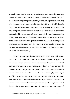separation and barrier between consciousness and unconsciousness and therefore there occurs, at best, only a kind of intellectual synthesis instead of the necessary integration produced through the direct experiential contacting of and communion with the rejected truth and all of its associated feelings. In fact, intellectual explanations only serve to prematurely put an end to the deeper inquiry into and the establishment of full contact with some rejected truth and in this way serves as a form of escape which makes it an accomplice of the pathological process. Intellectual interpretation or analysis is basically nothing more than theoretical speculation and this is not sufficient to produce integration and liberation; only the resolution of the duality between the observer and the observed accomplishes that liberating integration which yields true self-understanding.

Because psychological health involves the confronting and making contact with one's moment-to-moment experiential reality, it suggests that the process of psychotherapy itself must encourage the patient to confront and contact his moment-to-moment experiential reality. This means that the therapist should always take the patient where his moment-to-moment consciousness is and not where it ought to be. For example, the therapist should not predetermine to have the patient deal only with his past history or with some aspect of his future or even some aspect of what is referred to as the present time, such as his current job or marriage situation, because all of these are forms of escape from the patient's moment-to-moment experiential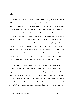reality.

Therefore, to teach the patient to live in the healthy process of contact with his moment-to-moment reality, the therapist has to encourage the patient to be totally attentive *only* to that which is *currently* in his free-flowing consciousness—that is, that consciousness which is unencumbered by a directing censor and deliberate thinker that is initiating and controlling the content and movement of thought. Encouraging the patient to deal with any other subject matter than this current experiential reality is encouraging the process of avoidance of reality and is therefore enhancing the pathological process. Thus, any system of therapy that has a predetermined focus of attention for the patient encourages his escape from reality. The patient has found a new means of escape from confronting himself by using the therapy process itself for that purpose even though in theory the process of psychotherapy is supposed to enhance the patient's contact with reality.

It should be pointed out that the present, as a moment in time, is not the same as the moment-to-moment experiential reality because the former is only a relative present rather than an immediate present. The fact that the patient may have had a fight with his wife or boss may not at all relate to what is in his current moment-to-moment consciousness and is therefore really of the past and not of the present even though the event may have occurred shortly before the therapy session. Whatever thoughts or feelings invade his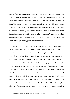uncontrolled current awareness is that which has the greatest investment of psychic energy at the moment and *that* is what has to be dealt with first. That which intrudes into his awareness when the controlling thinker is absent is that which is really concerning him the most. To try to deal with anything else is bound to be fruitless because the patient will not be able to effectively concentrate on anything else. He will only be in a state of internal conflict and distraction. A state of conflict is set up when the patient's attention is pulled away from where it naturally wants to flow and made to focus on an area where little psychic energy is currently invested.

There are several systems of psychotherapy and Eastern forms of mind discipline which emphasize the therapeutic and peaceful effects of focusing the mind's attention on and the complete absorption in the here and now external reality, but they apparently do not recognize that contact with external reality is not the result of an act of the will or of deliberate effort and therefore one cannot be instructed to do it. For example, the fact that  $I$  may be in your physical presence does not necessarily mean that I am also in your psychological presence or awareness. Whether or not you attend to me is not a function so much of your conscious intention but rather is more dependent upon the degree to which psychological tension within your mind is drawing your conscious attention to its source. The mind's conscious attention is naturally drawn towards and wants to follow that path that leads to that place where psychic tension exists. Attention always naturally wants to follow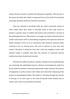tension because tension is painful and demands recognition. This process is the means by which that which is repressed tries to free itself of its dammed up energy and drain itself into conscious awareness.

Thus any attempt to forcefully make the mind consciously attend to some reality other than where it naturally wants to flow only serves to produce a greater sense of conflict and tension and is therefore a servant of the pathological process. When there is no longer any intense internal state of conflict and tension which is demanding recognition and expression then the mind's attention is free to be in communion with whatever external reality confronts it for no internal draw will exist to distract it away from that contact. Therefore it should be clear that a full and complete contact with external reality is possible only after the tensions of repressed internal realities have been drained and resolved.

This kind of conflict situation is another example of how psychotherapy can encourage the pathological process whereas encouraging the patient to be one with his moment-to-moment experiential reality enhances the process of integration as well as contact with reality and is therefore enhancing of the process of psychological health. The patient is learning, through the process of therapy, to be more open to the truth of himself which enables him to resolve more of his own problems by himself.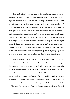This leads directly into the next major conclusion which is that an effective therapeutic process should enable the patient to leave therapy with a greater ability to resolve his own problems by himself than when he first came in, otherwise psychotherapy becomes nothing more than "patchwork." In an effective psychotherapy process the patient learns the process of reintegration of himself—that is, he learns how to retrieve, "welcome home" and live compatibly with all aspects of his formerly unacceptable self, which he branded as a not-self. He learns basically to say to all of his moment-tomoment painful experiential realities, such as his anxiety, depression, anger, sexual feelings, guilt, etcetera, that "this too is me." At the conclusion of therapy his capacity to face psychological pain is greater and he knows how to maintain his newfound state of integration by "never rejecting any of his own children from home," and thus he never disintegrates himself again.

Thus, psychotherapy cannot be considered as being complete unless the patient has come to learn to value the truth of himself and learn something of the essence of being open to the truth of himself. He must personally experience the self-integrating, self-healing and liberating process of being one with his moment-to-moment experiential reality; otherwise he is sure to work himself into new and insoluble conflicts and problems and have to seek assistance again. But having learned the self-integrating process he then has received more than just the immediate profit of the resolution of the problems that he brought with him into therapy because he has also learned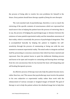the process of being able to resolve his own problems for himself in the future. *Every patient should leave therapy capable of being his own therapist.* 

The real essential task of psychotherapy, therefore, is not so much the retrieving of the specific contents of consciousness which are repressed but much more it lies in helping the patient learn the process of retrieving, that is to say, the process of bridging the psychological gap or distance between the existence of some painful experiential reality and the immediate awareness of that reality, which is essentially the process of psychological integration. This is accomplished basically by helping the patient to heighten his selfsensitivity through the process of communing or being one with his own moment-to-moment experiential reality. The mind seeks to integrate and heal itself by presenting to conscious awareness that which has been rejected and repressed. Once the patient learns to quiet the deliberate thinking process and learns to be open and receptive to contacting and hearing these strivings from his own unconscious then he has learned the basic self-integrating and self-healing therapeutic process.

An effective process of therapy must also help the patient become more, rather than less, real. This means that psychotherapy must involve the patient in his own subjective or experiential reality rather than work with the enhancement of various concepts or imaginal images of himself. The goal of therapy is not to help the patient achieve his idealized image but to help him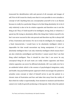transcend his identification with and pursuit of all concepts and images of self. First of all it must be clearly seen that it is not possible to ever actualize a concept of self. Anything that you conceptualize yourself to be is an illusion because to really be a particular thing is to be that thing absolutely, for to be it only relatively is also to be its relative opposite and therefore one is not the thing at all. Thus, if I hold myself to be intelligent, strong, kind, or whatever, I spend my life trying to absolutely affirm this thing that I believe myself to be but I can never succeed in this vain pursuit and therefore my life is always full of fear, frustration and tension. For me to truly be intelligent, for example, as a fixed characteristic, I would have to be absolutely intelligent which is impossible for that would necessitate my being omnipotent. If I am not absolutely intelligent then I am only relatively intelligent which means that I am also relatively unintelligent and therefore I cannot assert that I am that thing called intelligent. Thus it should be clear that I can never be any conceptual thing for all such traits are really relative opposites and these relative opposites can never be affirmed absolutely. All I can really ever be is an unlabeled whole which is the essence of psychological integration, unity and health. Any psychotherapeutic approach which encourages the patient to actualize some concept or ideal of himself serves to put the patient in a chronic state of frustration and fear and takes him away from the reality of that which he really is experientially, from moment to moment and therefore cannot ever really be growth producing or therapeutic. Only when the patient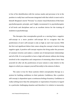is free of his identification with his various masks and personas is he in the position to really hear and become integrated with that which is most real in himself. Bergman's movie "Persona" is a classic visual illustration of this basic psychotherapeutic principle, and I highly recommend it to psychotherapists of all levels and disciplines and as an excellent device for the training of students in psychotherapy.

The therapies that conceptualize growth as a moving from a negative self-concept to a more positive self-concept fail to recognize that the positiveness of one's self-concept is only as high as one's last success. With the first real significant failure that comes along the concept is back to being negative again. A positive self-concept requires the living under the pressure of constant victories and makes a combat out of interpersonal relationships and all of life. It is not possible to have a high self-esteem without also being involved in the competition and comparison of esteeming others lower than yourself, for after all, the positiveness of your esteem is only relative to the degree to which you compare yourself favorably to the esteem of others.

The same is true for those systems which conceptualize therapy as a system for building confidence in their patients. Confidence, like a positive self-concept, is dependent upon a continuous feeling of mastery. Confidence is really nothing more than the anticipation or expectation of mastery in regard to a particular challenging situation and therefore it is relative to insecurity.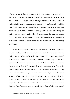Inherent in any feeling of confidence is the basic attempt to escape from feelings of insecurity. Absolute confidence is omnipotence and because that is not possible to achieve except through illusional fantasy, which is pathological insecurity always rides the coattails of confidence. It should be clear that if the patient did not feel insecure he would not pursue confidence any more either. Thus, a system of therapy which focuses on helping the patient feel more confident is really only encouraging the patient to escape from reality—that is, the reality of his basic feelings of insecurity—and it is that which needs to be transcended and not compensated for by seeking confidence.

When one is free of his identification with any and all concepts and images, which are really all false selves, then one is free to be with what is real in oneself, which is basically one's moment-to-moment experiential reality. One is then free of the anxiety and dread that one day that which is positive will become negative and that which is confident will become insecure. Being free of all conceptual selves, one is then also free of the internal judger. Peace of mind does not come when one's achievements finally meet with the internal judger's expectations and ideals, as some therapists seem to believe, but rather when the judger itself is transcended. If the process of therapy does not in some way deal with the transcendence of the judger itself then the patient must be left with a sense of anxiety and pressure that he will not five up to his concepts and ideals of himself. Change is not real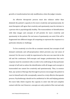growth or transformation but only modification, when the judger remains.

An effective therapeutic process must also enhance rather than diminish the patient's capacity to live more creatively and spontaneously, for most therapists will agree that creativity and spontaneity must be intrinsic to a person who is psychologically healthy. The transcendence of identifications with false images and concepts of self permits for more creativity and spontaneity in the patient. No real sense of spontaneity can exist if the self is fragmented into different images all competing to represent the response to a particular stimulus or challenge.

To live creatively is to live life as constant renewal, but concepts of self demand continuity and self-perpetuation which prevents any real sense of renewal. For the new to really be experienced as the new one must die to the old and the continuous. Self-concepts and images predetermine that one's response must be consistent with, in order to be confirming of, that particular concept of self and so unless the identification with all images and concepts is transcended one cannot live creatively and spontaneously. Thus, in essence then, any system of therapy that through its process encourages the patient to react to himself and to life conceptually cannot be a truly effective therapeutic process. Psychotherapy should not be antithetical to life and helping patients five more fully which requires the capacity to enter into full and complete contact with the real. However, concepts are only *symbols* of the real and only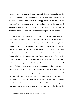operate to filter and prevent direct contact with the real. The word is not the fact or thing itself. The word and the symbol are really a turning away from the fact. Therefore, any system of therapy which is overly abstract, intellectual or philosophical in its process and approach to the patient and encourages the patient to approach himself and life conceptually is antithetical to life and therefore also antithetical to psychological health.

Many therapy approaches, through the use of controlling and manipulative techniques, also serve as another means of destroying the full development of creativity and spontaneity in their patients. Authority by the therapist in any form leads to impersonation and imitative behavior on the part of the patient and copying in any form in antithetical to creativity. Creativity and spontaneity reflect an inner state of freedom and any system of therapy which overly patterns and controls the patient's mind destroys the free flow of consciousness and thereby destroys the opportunity for creative and spontaneous expression. Therefore, it should be clear to the reader that no so-called therapeutic system or technique can ever really be effective in helping the patient become more creative and spontaneous because a system or a technique is a form of programming which is really the antithesis of creativity and spontaneity. A system or a technique necessitates a procedural commitment or attitudinal set on the part of the therapist which programs the interaction between himself and his patient and therefore destroys any opportunity for a sense of creativity and spontaneity to develop in the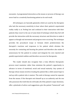encounter. A programmed interaction as the means or process of therapy can never lead to a creatively functioning patient as its end result.

All techniques are basically gimmicks which are used by the therapists who lack the necessary sensitivity to hear where their patient's experiential reality really is at. Feeling lost and confused in their interaction with their patients they resort to the use of some kind of technique which they feel will provide the interaction with the necessary structure and direction to make it appear as though real movement and progress were occurring. The technique provides the procedural recipe or formula which predetermines the therapist's reactions and responses to his patient which obviates the necessity for contacting and hearing the patient and therefore also makes it unnecessary for the patient to contact and integrate his own rejected and painful experiential realities and therefore can never be therapeutic.

The reader should also recognize that a truly effective therapeutic process must maximize rather than minimize the patient's opportunity to advance in terms of emotional, social and sexual maturity. Any system of therapy whose means involves treating the patient like a child cannot hope to end up with a patient who is mature. The ends in therapy cannot be separate from the means. If the therapist sets himself up as an authority and *the* one who possesses the truth then he will make all of the patient's major decisions, offer a plenitude of advice and suggestions, give the patient "homework" and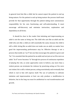in general treat him like a child, but he cannot expect the patient to end up being mature. For the patient to end up being mature the process itself must provide for that opportunity through the patient taking more autonomous responsibility for his own functioning and self-understanding. It must encourage self-discovery and minimize instruction, explanation and dependency in all forms.

It should be clear to the reader that imitating and impersonating an adult is not the same as being one. The child who acts like an adult and the child who acts like a child are still essentially the same, because the child is still a child. Acting like an adult does not make one an adult, no matter how good the impersonating performance may be. Effective therapy is not a process that molds an "as if" but one that encourages the patient to grow and "be." It is essential that the patient be an adult and not just act as if he were an adult. "As if" never becomes "is" through tire process of continuous repetition of playing the role, as some approaches seem to believe, any more than a violent person can terminate his violence by practicing acting as if he were not violent. He is still a violent person, acting nonviolently and eventually that which is real in him will express itself. The use of authority to cultivate imitation and impersonation at best can only produce a modification in behavior, but in the long run must be antithetical to real transformation and growth.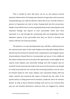Thus it should be clear that there can be no real advance toward maturity without there first being some element of regression, and no process of psychotherapy can really be effective unless this occurs. Growth involves a process of regression not only in terms of going back into the unconscious depths of oneself but also in terms of going backward and contacting the early immature feelings and aspects of one's personality which have been repressed. It is only through the communing with and integrating of these immature aspects of the personality that they are freed to develop and mature with the rest of the personality.

The patient is, in some developmental ways, still like a child because he has rejected some aspect of the weak, helpless and vulnerable feeling child in himself and has devised for himself some compensatory and imaginal means of pretending to himself that he is invulnerable and secure. In his childhood the patient needed, but was never given the opportunity, to thoroughly be his natural weak, helpless and vulnerable feelings and still recognize that he would be loved, protected and made to feel secure by his parents even though he could not provide his own security. But not having had this occur he never let himself totally be that weak, helpless and vulnerable feeling child but rather rejected and repressed this aspect of himself into the cellar of his psyche and by so doing preserved its existence, unaltered, and so he remains fixated. As long as these immature feelings exist and are not resolved they pop out and manifest themselves whenever they are triggered by related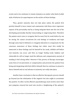events and so he continues to remain immature no matter what kind of adult style of behavior he superimposes on the surface of these feelings.

Thus, greater maturity does not take place unless the patient first permits himself to have contact and communion with these more regressive aspects of his personality and by so doing integrate them into the rest of his developing personality thereby transcending or outgrowing them. Therefore the patient must come to recognize that he must first be weak before he can be strong. He cannot circumvent his real feelings of weakness and hope through some kind of defensive or imaginal alteration to compensate for the conscious awareness of these feelings but rather must first totally be immersed in these feelings and let himself be his weak, childish self before real maturity can occur; and then no longer feeling weak, helpless and vulnerable he will no longer need the defenses and compensatory pursuit of needing to feel strong either. However if the process of therapy encourages some form of circumvention or compensation and prevents the patient from being and integrating with that child in himself, then he continues to preserve that in himself and no real advance in maturity can really take place.

Another basic conclusion is that an effective therapeutic process should go beyond just the elimination of the negative but also ought to accentuate the positive. In other words effective psychotherapy must involve more than just symptom removal but must also involve a heightening of the patient's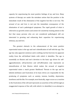capacity for experiencing his most positive feelings of joy and love. Many systems of therapy are under the mistaken notion that the positive is the immediate result of the elimination of the negative but this is not true. The arousal of joy and love is not just the immediate consequence of the elimination of one's pathological symptoms. The rapid growth of what is referred to as growth centers and centers for sensitivity training attests to the fact that many persons who are not considered pathological still are interested in growing and enhancing their capacities for experiencing intimacy, joy and love.

The greatest obstacle to the enhancement of the more positive experiential states is the ego and one's identification of self with the ego. The ego has only apparent existence and is nothing real but borrows its apparent reality from the self-defined labels with which it identifies. The ego is essentially an illusion and one's devotion to the basic ego drives for selfaggrandizement, self-protection and self-affirmation only represents an intensification of that illusion which makes the arousal of negative experiential states a much greater likelihood. Threats to the ego and its labeled attributes and frustration of its basic drives are responsible for the producing of symptoms such as anxiety, tension, hostility, depression, loneliness and the like. For example, most basically, anger occurs as a reaction to the frustration of the will and represents an assertion of the self through an exaggerated response of the will, with which it is identified, in an attempt to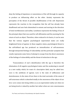deny the feeling of impotence or nonexistence of the will through its capacity to produce an influencing effect on the other. Anxiety represents the perception of the threat of possible disaffirmation of the self. Depression represents the reaction to the recognition that the self has already been disaffirmed and now feels diminished in esteem and moving in the direction of total worthlessness and nullity. Loneliness represents the feeling of loss of the principal object that was used for self-affirmation and the yearning for the return of such an object. Therefore, when reduced to its basics, it can be seen that the various negative psychological experiential states are really heightened forms of egoism. In these negative states, psychological threat to the self-defined ego has produced an intensification of self-awareness through interpreted feelings of vulnerability and the particular symptom that results represents some form of attempt to escape from the direct awareness of the feelings of vulnerability and the threat of extinction to the ego.

Transcendence of one's identification with the ego is therefore the elimination of all negative psychological states and the awakening to oneself as a new reality which, for want of a descriptive label, may be called love. Love is the antithesis of egoism. Love is the state of selflessness and desirelessness. In the state of love there is the total surrender of the sense of self-awareness which is absorbed totally in the awareness of the object of our love. Love comes into being within us as an experiential reality not when we are being loved or valued by another but rather when our own consciousness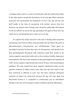is making contact and is in a state of communion with the experiential reality of the other person outside the boundaries of our own ego. When conscious awareness has transcended the boundaries of one's own ego and has lost itself totally in the state of communion with another person, then love becomes our natural state of being. Love cannot be volitionally self-induced for all such efforts are acts by the ego operating as the agent of those acts, but rather love is something that one *is* when one is not ego.

It is egoism that makes man live in the state of duality which separates and alienates him from his fellow man and makes him devoted to the goals of self-enhancement, self-protection and self-affirmation. These goals are inevitably frustrated, because they strive for absoluteness, and therefore one feels psychologically threatened with extinction which then results in the various negative experiential states such as fear, tension, hostility, depression and loneliness. The fear of the extinction of the psychological self underlies all of the various negative experiential states and all of man's basic psychological problems. The only respite from these negative experiential states are the periodic moments of elation which come when the ego feels itself to have been enhanced or affirmed in some way. But these relatively infrequent moments of elation are short-lived because the ego will soon again feel threatened because it is compulsed to continuously put its self-defined identity on the line in the attempt to attain a feeling of absolute affirmation.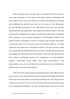Most therapists have correctly come to recognize that the arousal of threat and symptoms are the result of the ego's need for affirmation and preservation and so they have therefore assumed that affirming, protecting and enhancing the patient's ego must be the essence of the therapeutic process. But that assumption is not valid because they have not correctly understood that ego affirmation only temporarily relieves threat to the ego and therefore symptoms of one type or another generally reoccur. Symptoms must continue to arise because the patient is still basically irrational. The patient's prime irrationality is that he is trying to make absolute that which can only be relative. He is trying to prove the absolute existence of a thing which has only apparent or conceptual existence. The ego can never really ever be permanently affirmed because it cannot be absolute and therefore by encouraging the affirmation and preservation of the ego, the therapist has only served to ultimately preserve the continuance of all the patient's negative experiential states rather than their transcendence. That transcendence can occur only with the transcendence of one's identification with the ego. Love is that transcendence.

From love flows all the positive experiential states. Life without love is joyless and it is also without beauty and the inspirational feelings which flow from it, for love is the mother of all of these offspring. Love also brings with it a deep sense of peace, for love is the full release from the tension that comes from maintaining self-defense and the striving toward some ideal of self-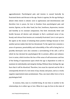aggrandizement. Psychological pain and tension is caused basically by frustrated desire and threats to the ego. Desire is egoism, for the ego feeling is absent when desire is absent. Love is egolessness and desirelessness and therefore love is peace, for love is freedom from psychological pain and tension. Egoism, on the other hand, has fear, loneliness, depression, tension and hostility as its constant companions. One feels chronically bitter and hostile because all desires and attempts to find a profound sense of joy, beauty and release from tension are constantly frustrated. Love is not open to the egoist as the means of attaining these positive feelings because to love another person makes him feel too threatened. To the egoist love connotes a sense of openness, penetrability and vulnerability of the self to being hurt or possibly destroyed. Love also connotes a surrendering of the self; a self to which he has devoted his psychological life to protect, affirm and enhance. Love is union, which involves the loss of the sense of self-awareness and loss of the feeling of separateness upon which the ego is dependent in order to maintain its individuality and integrity feeling. Without these feelings the ego fears that it will be dissolved. Therefore, love must be rejected and his life is consequently devoid of a real sense of joy, beauty and peace, and as a result, negative experiential states predominate. Thus, one must either love or be in psychological hell.

In essence, then, man is a twofold being. At one time or another in his relationships, he is either ego or love. When he is ego, he lives in the state of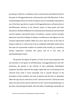becoming in which he is ambitious and is continuously and totally devoted to the goals of self-aggrandizement, self-protection and self-affirmation. In fact, *all* psychological drives are forms of egoism and are essentially reduceable to one of the basic ego drives or goals of self-aggrandizement, self-protection or self-affirmation. Because of the illusory nature of these goals and their demand for absolute fulfillment he constantly feels threatened and frustrated and the negative experiential states of loneliness, anxiety, tension, hostility, depression and inner feelings of coldness, worthlessness and ugliness are his constant experiential realities. When he is love, then he lives in the state of being in which he is content just to be an unlabeled, indivisible whole and in that state his experiential realities are marked with warmth, joy, sensitivity, beauty, inspiration, creativity and peace, and he is free from all psychopathological states.

The greater the degree of egoism, in terms of one's preoccupation with and devotion to the goals of self-affirmation, self-aggrandizement and selfprotection, the greater is the severity of one's pathology. Pathological symptoms basically represent the danger signal that one is becoming too far removed from what is most essentially real in oneself. Because of the prevalence of this condition, the state of egoism and the drive to absolutely affirm the ego may be referred to as the "universal neurosis" and by the same token, the state of love may be referred to as the "universal psychotherapy" or the state of psychological health, when the labels of pathology and health are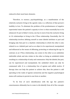reduced to their most hasic elements.

Therefore, in essence, psychopathology, as a manifestation of the relatively exclusive living in the egoistic state, is a reflection of that person's inability to love. To eliminate the problem of the predominance of negative experiential states the patient's capacity to love is what essentially has to be enhanced. Or put in Buber's terms, one has to move from the exclusive living in I-It relationships to living in the I-Thou relationship. Essentially, the I-It relationship involves defining oneself as some labeled attribute or part and bringing only that part to a dualistic relationship in which the other is also related to as a labeled part and as an object to be experienced, manipulated and influenced as the means of affirming, protecting or enhancing the ego. In contrast, in an I-Thou relationship, one comes to the other as an unlabeled. indivisible whole and also relates to the other as being an unlabeled whole resulting in a relationship of unity and communion. Only the labeled, the part, can be experienced and manipulated, the unlabeled whole can only be communed with. It is a relationship free of egoism and selfish motive. If therapy does not help the patient to achieve this, then the patient is still operating in the realm of egoism exclusively and the negative psychological states will continue to persist in one form or another.

To be free of one's identification with the ego the patient's consciousness ultimately has to come to dis-identify from all of the concepts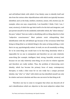and self-defined labels with which it has falsely come to identify itself and also from the various other objectifications with which one typically becomes identified, such as the body, intellect, emotions, senses, will, etcetera (as, for example, when one says, respectively, I am beautiful, I think, I feel, I see, I want, etcetera), of which the ego feels itself to be the hub and integrator, and just permit oneself to be the unlabeled, indivisible whole, the "silent witness," the pure "subject" that one really is, identifying with no-thing objective to that "subjective consciousness." Most patients resist relinquishing their identification with the self-defined ego because of the erroneous belief that being no-thing (that is, no labeled thing) is the same as being nothing, a void, that is to say, psychologically extinct. In truth, we are all essentially no-thing, for to be some-thing one would have to be that thing absolutely which is impossible for no one is omnipotent and therefore we are only relatively some-thing (for example, intelligent, kind, strong, beautiful, etcetera) and because we are only relatively some-thing, we are also its relative opposite and therefore are really neither. Thus, the problem of discovering one's identity, which has become the primary focus of many contemporary therapies, is really a false issue for no one really has a unique personal identity. Any "who" or "what" with which one has identified oneself can only be relative and never absolute and thus one can never be that thing at all.

Therefore one has to come to recognize that when one discards all of one's identifications which are objective to the most subjective subject that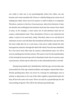one really is, then one is not psychologically extinct but rather one has become one's most essential self. A form or a labeled thing never arises out of nothing but rather arises out of its essence or stuff of which it is composed. Therefore, contrary to the fear of most persons, when form dissolves it does not dissolve into nothingness but dissolves back into the essence from which it arose, as for example, a wave arises out of and dissolves back into its essence, unformalized water. Thus, dissolution of form is not extinction but rather a return to its most basic reality. Therefore, there is no real threat of extinction of one's real self when the formalized self dissolves any more than the wave really dies, for in a real sense, it has never really existed but only had apparent existence through the label with which it has become identified, for it has never been other than its essence, unformalized water, nor will it ever be anything else but that essence. The same is true for the manifestation of the formalized personal ego and its dissolution back into its essence, pure consciousness, which may be referred to as the unformalized self or real self.

Having transcended one's identification with the ego, one has then also transcended all of the ego-related problems and negative experiential states. Strictly speaking then, there can never be a therapy for pathologies such as anxiety or depression or for any of the other negative experiential states for they all have the same root cause. There can only be a psychotherapy for the transcending of egoism. This will be the ultimate psychotherapy.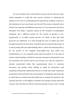It is my conviction that a truly effective process for the removal of egorelated symptoms is really the *same* process involved in enhancing the capacity to love and in continuing growth beyond just symptom removal to the realization of one's most basic and real self. The essence of growth never involves two separate and different processes. It is my impression that those therapists who adopt a separate system for the treatment of pathological symptoms and a different system for the arousal of growth in nonsymptomatic or so-called normal persons are likely to find that both processes are ineffective. It is only through the door of reality and never through the pursuit of some form of idealism that true growth takes place. It is only by being with and understanding what is, rather than denying what is, for the pursuit of the imaginal what-ought-to-be, that yields true transformation. It is my experience that when the patient is in the state of creative understanding, in which his conscious awareness and attention is not pre-committed and focused and he has become one with his moment-tomoment experiential reality that spontaneously arises to conscious awareness and permits those feelings to speak for themselves until completed, drained and understood, then he is in that basic state of openness and growth which will lead to the transcendence of symptoms, and of the ego to which they are related and will enable him to continue his growth to the eventual discovery of the highest in himself. The therapist should make this "journey" first and then he will be in the best position to know "how" to help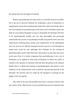the patient discover the highest in himself.

Modern psychotherapy has done much to reveal the sources of conflict. but it has yet to discover methods for awakening a sense of inspiration or supplying the mind with something that makes life really worth living. This is the real challenge for psychotherapy in the future and it will likely require the birth of a new kind of therapist to meet it. Essentially the therapist will have to be psychologically healthy and one who thoroughly and personally understands the process of psychological health and growth. Each man if he really knows anything about curing, cures himself first. So the pathological man can never be an effective therapist because were he a real therapist he would have cured his own pathology first. Facilities for the training of psychotherapists need to take this factor into greater account than they have in the past. Once it is clearly recognized that psychotherapy is not a set of techniques to be applied or some kind of blueprint to follow but rather is related to the capacity to commune with and hear the patient at his deepest depths then it is likely that training of psychotherapists will achieve a new emphasis on the enhancement of the sensitivity and personal growth of the therapist. The primary data for study for the therapist in training are the depths of his own psyche.

This leads to the last and probably most basic conclusion which is that the essence of the effectiveness of any psychotherapy process depends most